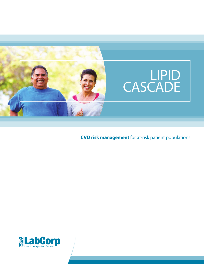

# LIPID CASCADE

**CVD risk management** for at-risk patient populations

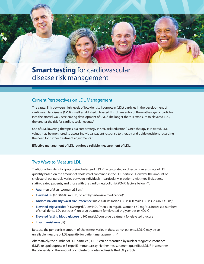## **Smart testing** for cardiovascular disease risk management

#### Current Perspectives on LDL Management

The causal link between high levels of low-density lipoprotein (LDL) particles in the development of cardiovascular disease (CVD) is well established. Elevated LDL drives entry of these atherogenic particles into the arterial wall, accelerating development of CVD.1 The longer there is exposure to elevated LDL, the greater the risk for cardiovascular events.<sup>2</sup>

Use of LDL lowering therapies is a core strategy in CVD risk reduction.<sup>3</sup> Once therapy is initiated, LDL values may be monitored to assess individual patient response to therapy and guide decisions regarding the need for further treatment adjustments.<sup>3</sup>

**Effective management of LDL requires a reliable measurement of LDL.**

**Traditional low density lipoprotein-cholesterol (LDL-C) – calculated or direct – is an estimate of LDL<br>Traditional low density lipoprotein-cholesterol (LDL-C) – calculated or direct – is an estimate of LDL<br>quantity based** Traditional low density lipoprotein-cholesterol (LDL-C) – calculated or direct – is an estimate of LDL quantity based on the amount of cholesterol contained in the LDL particle.<sup>2</sup> However the amount of cholesterol per particle varies between individuals – particularly in patients with type II diabetes, statin-treated patients, and those with the cardiometabolic risk (CMR) factors below<sup>2,4,5</sup>:

- **• Age:** men ≥45 yrs, women ≥55 yrs6
- **• Elevated BP** (≥130/≥85 mmHg; on antihypertensive medication)7
- **• Abdominal obesity/waist circumference:** male ≥40 ins (Asian ≥35 ins), female ≥35 ins (Asian ≥31 ins)7
- **• Elevated triglycerides** (≥150 mg/dL), low HDL (men< 40 mg/dL, women< 50 mg/dL), increased numbers of small dense LDL particles<sup>4,7</sup>; on drug treatment for elevated triglycerides or HDL-C
- **• Elevated fasting blood glucose** (≥100 mg/dL)7 ,on drug treatment for elevated glucose
- **• Insulin resistance** (IR)4

Because the per-particle amount of cholesterol varies in these at-risk patients, LDL-C may be an unreliable measure of LDL quantity for patient management.<sup>2,5,8</sup>

Alternatively, the number of LDL particles (LDL-P) can be measured by nuclear magnetic resonance (NMR) or apolipoprotein B (Apo B) immunoassay. Neither measurement quantifies LDL-P in a manner that depends on the amount of cholesterol contained inside the LDL particle.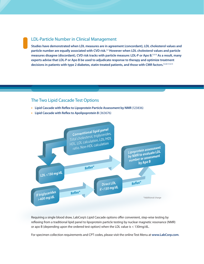#### LDL-Particle Number in Clinical Management

**Studies have demonstrated when LDL measures are in agreement (concordant), LDL cholesterol values and particle number are equally associated with CVD risk.**5,9 **However when LDL cholesterol values and particle measures disagree (discordant), CVD risk tracks with particle measure: LDL-P or Apo B.**5,9,10 **As a result, many experts advise that LDL-P or Apo B be used to adjudicate response to therapy and optimize treatment decisions in patients with type 2 diabetes, statin-treated patients, and those with CMR factors.**4,5,8,11,12,13

#### The Two Lipid Cascade Test Options

- **• Lipid Cascade with Reflex to Lipoprotein Particle Assessment by NMR** (123836)
- **• Lipid Cascade with Reflex to Apolipoprotein B** (363676)



Requiring a single blood draw, LabCorp's Lipid Cascade options offer convenient, step-wise testing by reflexing from a traditional lipid panel to lipoprotein particle testing by nuclear magnetic resonance (NMR) or apo B (depending upon the ordered test option) when the LDL value is < 130mg/dL.

For specimen collection requirements and CPT codes, please visit the online Test Menu at **www.LabCorp.com**.